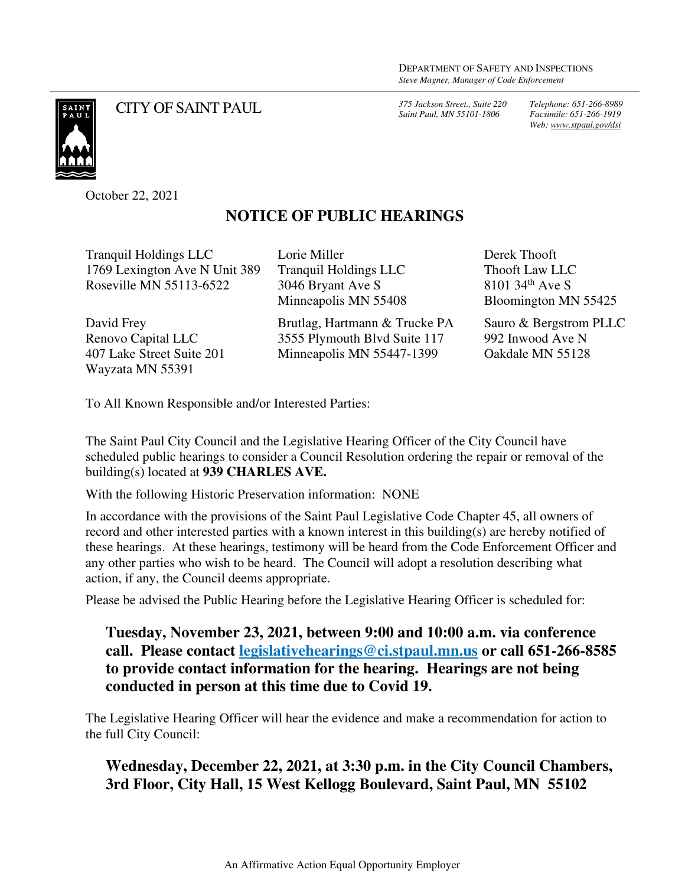*Saint Paul, MN 55101-1806*

*Telephone: 651-266-8989 Facsimile: 651-266-1919 Web: www.stpaul.gov/dsi*

SAINT<br>PAILT

CITY OF SAINT PAUL *375 Jackson Street., Suite 220* 

October 22, 2021

## **NOTICE OF PUBLIC HEARINGS**

Tranquil Holdings LLC 1769 Lexington Ave N Unit 389 Roseville MN 55113-6522

David Frey Renovo Capital LLC 407 Lake Street Suite 201 Wayzata MN 55391

Lorie Miller Tranquil Holdings LLC 3046 Bryant Ave S Minneapolis MN 55408

Brutlag, Hartmann & Trucke PA 3555 Plymouth Blvd Suite 117 Minneapolis MN 55447-1399

Derek Thooft Thooft Law LLC  $8101,34$ <sup>th</sup> Ave S Bloomington MN 55425

Sauro & Bergstrom PLLC 992 Inwood Ave N Oakdale MN 55128

To All Known Responsible and/or Interested Parties:

The Saint Paul City Council and the Legislative Hearing Officer of the City Council have scheduled public hearings to consider a Council Resolution ordering the repair or removal of the building(s) located at **939 CHARLES AVE.** 

With the following Historic Preservation information: NONE

In accordance with the provisions of the Saint Paul Legislative Code Chapter 45, all owners of record and other interested parties with a known interest in this building(s) are hereby notified of these hearings. At these hearings, testimony will be heard from the Code Enforcement Officer and any other parties who wish to be heard. The Council will adopt a resolution describing what action, if any, the Council deems appropriate.

Please be advised the Public Hearing before the Legislative Hearing Officer is scheduled for:

**Tuesday, November 23, 2021, between 9:00 and 10:00 a.m. via conference call. Please contact legislativehearings@ci.stpaul.mn.us or call 651-266-8585 to provide contact information for the hearing. Hearings are not being conducted in person at this time due to Covid 19.** 

The Legislative Hearing Officer will hear the evidence and make a recommendation for action to the full City Council:

**Wednesday, December 22, 2021, at 3:30 p.m. in the City Council Chambers, 3rd Floor, City Hall, 15 West Kellogg Boulevard, Saint Paul, MN 55102**